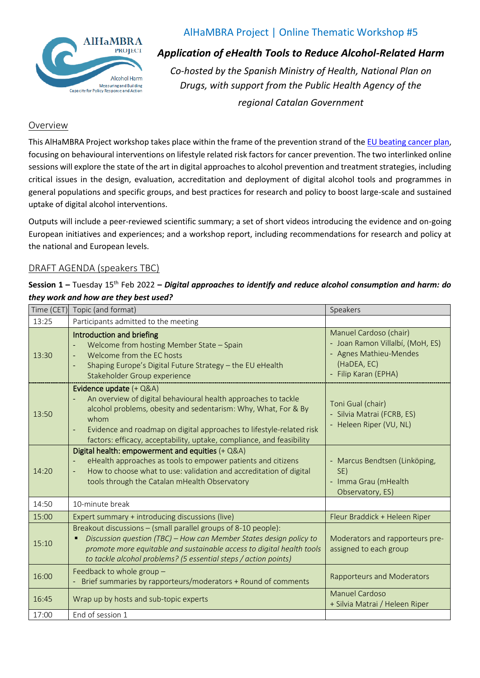

# AlHaMBRA Project | Online Thematic Workshop #5

*Application of eHealth Tools to Reduce Alcohol-Related Harm*

*Co-hosted by the Spanish Ministry of Health, National Plan on Drugs, with support from the Public Health Agency of the regional Catalan Government*

### Overview

This AlHaMBRA Project workshop takes place within the frame of the prevention strand of th[e EU beating cancer plan,](https://ec.europa.eu/info/strategy/priorities-2019-2024/promoting-our-european-way-life/european-health-union/cancer-plan-europe_en) focusing on behavioural interventions on lifestyle related risk factors for cancer prevention. The two interlinked online sessions will explore the state of the art in digital approaches to alcohol prevention and treatment strategies, including critical issues in the design, evaluation, accreditation and deployment of digital alcohol tools and programmes in general populations and specific groups, and best practices for research and policy to boost large-scale and sustained uptake of digital alcohol interventions.

Outputs will include a peer-reviewed scientific summary; a set of short videos introducing the evidence and on-going European initiatives and experiences; and a workshop report, including recommendations for research and policy at the national and European levels.

#### DRAFT AGENDA (speakers TBC)

#### **Session 1 –** Tuesday 15 th Feb 2022 **–** *Digital approaches to identify and reduce alcohol consumption and harm: do they work and how are they best used?*

| Time (CET) | Topic (and format)                                                                                                                                                                                                                                                                                                               | Speakers                                                                                                                    |
|------------|----------------------------------------------------------------------------------------------------------------------------------------------------------------------------------------------------------------------------------------------------------------------------------------------------------------------------------|-----------------------------------------------------------------------------------------------------------------------------|
| 13:25      | Participants admitted to the meeting                                                                                                                                                                                                                                                                                             |                                                                                                                             |
| 13:30      | Introduction and briefing<br>Welcome from hosting Member State - Spain<br>Welcome from the EC hosts<br>Shaping Europe's Digital Future Strategy - the EU eHealth<br>$\blacksquare$<br>Stakeholder Group experience                                                                                                               | Manuel Cardoso (chair)<br>- Joan Ramon Villalbí, (MoH, ES)<br>- Agnes Mathieu-Mendes<br>(HaDEA, EC)<br>- Filip Karan (EPHA) |
| 13:50      | Evidence update (+ Q&A)<br>An overview of digital behavioural health approaches to tackle<br>$\equiv$<br>alcohol problems, obesity and sedentarism: Why, What, For & By<br>whom<br>Evidence and roadmap on digital approaches to lifestyle-related risk<br>factors: efficacy, acceptability, uptake, compliance, and feasibility | Toni Gual (chair)<br>- Silvia Matrai (FCRB, ES)<br>- Heleen Riper (VU, NL)                                                  |
| 14:20      | Digital health: empowerment and equities (+ Q&A)<br>eHealth approaches as tools to empower patients and citizens<br>How to choose what to use: validation and accreditation of digital<br>tools through the Catalan mHealth Observatory                                                                                          | - Marcus Bendtsen (Linköping,<br>SE)<br>- Imma Grau (mHealth<br>Observatory, ES)                                            |
| 14:50      | 10-minute break                                                                                                                                                                                                                                                                                                                  |                                                                                                                             |
| 15:00      | Expert summary + introducing discussions (live)                                                                                                                                                                                                                                                                                  | Fleur Braddick + Heleen Riper                                                                                               |
| 15:10      | Breakout discussions - (small parallel groups of 8-10 people):<br>Discussion question (TBC) - How can Member States design policy to<br>promote more equitable and sustainable access to digital health tools<br>to tackle alcohol problems? (5 essential steps / action points)                                                 | Moderators and rapporteurs pre-<br>assigned to each group                                                                   |
| 16:00      | Feedback to whole group -<br>Brief summaries by rapporteurs/moderators + Round of comments                                                                                                                                                                                                                                       | <b>Rapporteurs and Moderators</b>                                                                                           |
| 16:45      | Wrap up by hosts and sub-topic experts                                                                                                                                                                                                                                                                                           | Manuel Cardoso<br>+ Silvia Matrai / Heleen Riper                                                                            |
| 17:00      | End of session 1                                                                                                                                                                                                                                                                                                                 |                                                                                                                             |